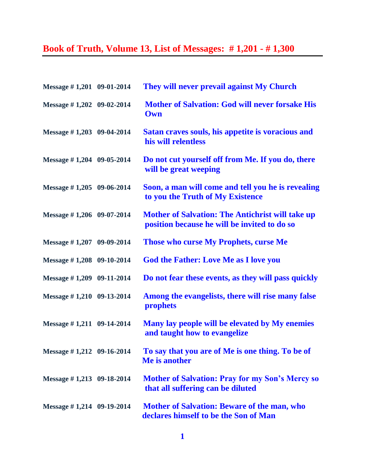## **Book of Truth, Volume 13, List of Messages: # 1,201 - # 1,300**

| Message #1,201 09-01-2014     | They will never prevail against My Church                                                               |
|-------------------------------|---------------------------------------------------------------------------------------------------------|
| Message #1,202 09-02-2014     | <b>Mother of Salvation: God will never forsake His</b><br>Own                                           |
| Message #1,203 09-04-2014     | Satan craves souls, his appetite is voracious and<br>his will relentless                                |
| Message #1,204 09-05-2014     | Do not cut yourself off from Me. If you do, there<br>will be great weeping                              |
| Message $\#$ 1,205 09-06-2014 | Soon, a man will come and tell you he is revealing<br>to you the Truth of My Existence                  |
| Message $\#$ 1,206 09-07-2014 | <b>Mother of Salvation: The Antichrist will take up</b><br>position because he will be invited to do so |
| Message #1,207 09-09-2014     | <b>Those who curse My Prophets, curse Me</b>                                                            |
| Message #1,208 09-10-2014     | <b>God the Father: Love Me as I love you</b>                                                            |
| Message $\#$ 1,209 09-11-2014 | Do not fear these events, as they will pass quickly                                                     |
| Message #1,210 09-13-2014     | Among the evangelists, there will rise many false<br>prophets                                           |
| Message #1,211 09-14-2014     | Many lay people will be elevated by My enemies<br>and taught how to evangelize                          |
| Message $\#$ 1,212 09-16-2014 | To say that you are of Me is one thing. To be of<br>Me is another                                       |
| Message $\#$ 1,213 09-18-2014 | <b>Mother of Salvation: Pray for my Son's Mercy so</b><br>that all suffering can be diluted             |
| Message $\#$ 1,214 09-19-2014 | <b>Mother of Salvation: Beware of the man, who</b><br>declares himself to be the Son of Man             |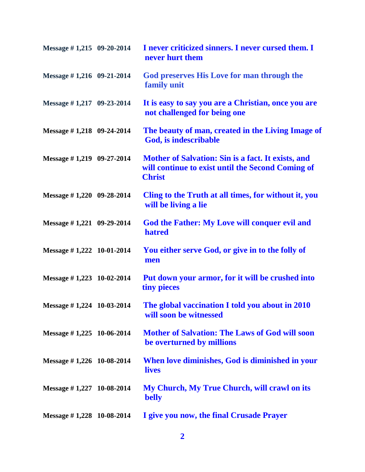| Message $\#$ 1,215 09-20-2014 | I never criticized sinners. I never cursed them. I<br>never hurt them                                                    |
|-------------------------------|--------------------------------------------------------------------------------------------------------------------------|
| Message #1,216 09-21-2014     | God preserves His Love for man through the<br>family unit                                                                |
| Message #1,217 09-23-2014     | It is easy to say you are a Christian, once you are<br>not challenged for being one                                      |
| Message #1,218 09-24-2014     | The beauty of man, created in the Living Image of<br>God, is indescribable                                               |
| Message #1,219 09-27-2014     | Mother of Salvation: Sin is a fact. It exists, and<br>will continue to exist until the Second Coming of<br><b>Christ</b> |
| Message #1,220 09-28-2014     | Cling to the Truth at all times, for without it, you<br>will be living a lie                                             |
| Message #1,221 09-29-2014     | God the Father: My Love will conquer evil and<br>hatred                                                                  |
| Message $\#$ 1,222 10-01-2014 | You either serve God, or give in to the folly of<br>men                                                                  |
| Message $\#$ 1,223 10-02-2014 | Put down your armor, for it will be crushed into<br>tiny pieces                                                          |
| Message #1,224 10-03-2014     | The global vaccination I told you about in 2010<br>will soon be witnessed                                                |
| Message #1,225 10-06-2014     | <b>Mother of Salvation: The Laws of God will soon</b><br>be overturned by millions                                       |
| Message $\#$ 1,226 10-08-2014 | When love diminishes, God is diminished in your<br><b>lives</b>                                                          |
| Message $\#$ 1,227 10-08-2014 | My Church, My True Church, will crawl on its<br><b>belly</b>                                                             |
| Message $\#$ 1,228 10-08-2014 | I give you now, the final Crusade Prayer                                                                                 |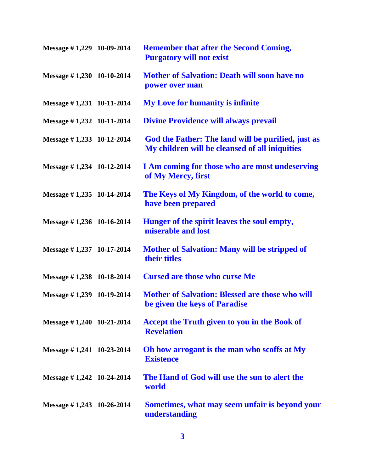| Message $\#$ 1,229 10-09-2014 | <b>Remember that after the Second Coming,</b><br><b>Purgatory will not exist</b>                     |
|-------------------------------|------------------------------------------------------------------------------------------------------|
| Message #1,230 10-10-2014     | <b>Mother of Salvation: Death will soon have no</b><br>power over man                                |
| Message $\#$ 1,231 10-11-2014 | <b>My Love for humanity is infinite</b>                                                              |
| Message $\#$ 1,232 10-11-2014 | <b>Divine Providence will always prevail</b>                                                         |
| Message $\#$ 1,233 10-12-2014 | God the Father: The land will be purified, just as<br>My children will be cleansed of all iniquities |
| Message $\#$ 1,234 10-12-2014 | I Am coming for those who are most undeserving<br>of My Mercy, first                                 |
| Message #1,235 10-14-2014     | The Keys of My Kingdom, of the world to come,<br>have been prepared                                  |
| Message $\#$ 1,236 10-16-2014 | Hunger of the spirit leaves the soul empty,<br>miserable and lost                                    |
| Message $\#$ 1,237 10-17-2014 | <b>Mother of Salvation: Many will be stripped of</b><br>their titles                                 |
| Message $\#$ 1,238 10-18-2014 | <b>Cursed are those who curse Me</b>                                                                 |
| Message $\#$ 1,239 10-19-2014 | <b>Mother of Salvation: Blessed are those who will</b><br>be given the keys of Paradise              |
| Message $\#$ 1,240 10-21-2014 | <b>Accept the Truth given to you in the Book of</b><br><b>Revelation</b>                             |
| Message $\# 1,241$ 10-23-2014 | Oh how arrogant is the man who scoffs at My<br><b>Existence</b>                                      |
| Message $\#$ 1,242 10-24-2014 | The Hand of God will use the sun to alert the<br>world                                               |
| Message $\#$ 1,243 10-26-2014 | Sometimes, what may seem unfair is beyond your<br>understanding                                      |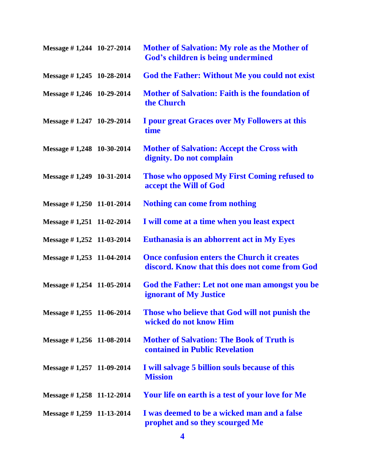| Message $\#$ 1,244 10-27-2014 | <b>Mother of Salvation: My role as the Mother of</b><br>God's children is being undermined           |
|-------------------------------|------------------------------------------------------------------------------------------------------|
| Message $\#$ 1,245 10-28-2014 | <b>God the Father: Without Me you could not exist</b>                                                |
| Message #1,246 10-29-2014     | <b>Mother of Salvation: Faith is the foundation of</b><br>the Church                                 |
| Message $\#$ 1.247 10-29-2014 | I pour great Graces over My Followers at this<br>time                                                |
| Message $\#$ 1,248 10-30-2014 | <b>Mother of Salvation: Accept the Cross with</b><br>dignity. Do not complain                        |
| Message $\#$ 1,249 10-31-2014 | Those who opposed My First Coming refused to<br>accept the Will of God                               |
| Message $\#$ 1,250 11-01-2014 | <b>Nothing can come from nothing</b>                                                                 |
| Message $\#$ 1,251 11-02-2014 | I will come at a time when you least expect                                                          |
| Message #1,252 11-03-2014     | Euthanasia is an abhorrent act in My Eyes                                                            |
| Message #1,253 11-04-2014     | <b>Once confusion enters the Church it creates</b><br>discord. Know that this does not come from God |
| Message #1,254 11-05-2014     | God the Father: Let not one man amongst you be<br><b>ignorant of My Justice</b>                      |
| Message #1,255 11-06-2014     | Those who believe that God will not punish the<br>wicked do not know Him                             |
| Message $\#$ 1,256 11-08-2014 | <b>Mother of Salvation: The Book of Truth is</b><br><b>contained in Public Revelation</b>            |
| Message $\#$ 1,257 11-09-2014 | I will salvage 5 billion souls because of this<br><b>Mission</b>                                     |
| Message $\#$ 1,258 11-12-2014 | Your life on earth is a test of your love for Me                                                     |
| Message $\#$ 1,259 11-13-2014 | I was deemed to be a wicked man and a false<br>prophet and so they scourged Me                       |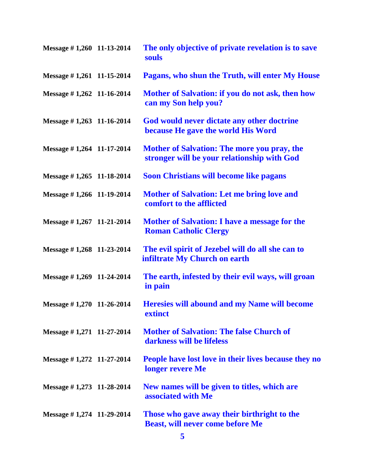| Message #1,260 11-13-2014     | The only objective of private revelation is to save<br>souls                                      |
|-------------------------------|---------------------------------------------------------------------------------------------------|
| Message #1,261 11-15-2014     | Pagans, who shun the Truth, will enter My House                                                   |
| Message #1,262 11-16-2014     | Mother of Salvation: if you do not ask, then how<br>can my Son help you?                          |
| Message $\#$ 1,263 11-16-2014 | God would never dictate any other doctrine<br>because He gave the world His Word                  |
| Message $\#$ 1,264 11-17-2014 | <b>Mother of Salvation: The more you pray, the</b><br>stronger will be your relationship with God |
| Message $\#$ 1,265 11-18-2014 | <b>Soon Christians will become like pagans</b>                                                    |
| Message #1,266 11-19-2014     | <b>Mother of Salvation: Let me bring love and</b><br>comfort to the afflicted                     |
| Message $\#$ 1,267 11-21-2014 | <b>Mother of Salvation: I have a message for the</b><br><b>Roman Catholic Clergy</b>              |
| Message $\#$ 1,268 11-23-2014 | The evil spirit of Jezebel will do all she can to<br>infiltrate My Church on earth                |
| Message $\#$ 1,269 11-24-2014 | The earth, infested by their evil ways, will groan<br>in pain                                     |
| Message #1,270 11-26-2014     | <b>Heresies will abound and my Name will become</b><br>extinct                                    |
| Message $\#$ 1,271 11-27-2014 | <b>Mother of Salvation: The false Church of</b><br>darkness will be lifeless                      |
| Message #1,272 11-27-2014     | People have lost love in their lives because they no<br>longer revere Me                          |
| Message $\#$ 1,273 11-28-2014 | New names will be given to titles, which are<br>associated with Me                                |
| Message $\#$ 1,274 11-29-2014 | Those who gave away their birthright to the<br><b>Beast, will never come before Me</b>            |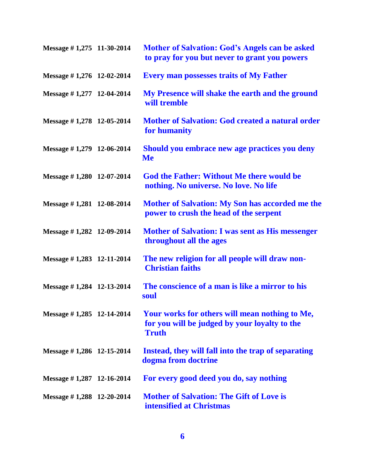| Message $\#$ 1,275 11-30-2014 | <b>Mother of Salvation: God's Angels can be asked</b><br>to pray for you but never to grant you powers          |
|-------------------------------|-----------------------------------------------------------------------------------------------------------------|
| Message $\#$ 1,276 12-02-2014 | <b>Every man possesses traits of My Father</b>                                                                  |
| Message #1,277 12-04-2014     | My Presence will shake the earth and the ground<br>will tremble                                                 |
| Message $\#$ 1,278 12-05-2014 | <b>Mother of Salvation: God created a natural order</b><br>for humanity                                         |
| Message $\#$ 1,279 12-06-2014 | Should you embrace new age practices you deny<br><b>Me</b>                                                      |
| Message $\#$ 1,280 12-07-2014 | <b>God the Father: Without Me there would be</b><br>nothing. No universe. No love. No life                      |
| Message $\#$ 1,281 12-08-2014 | <b>Mother of Salvation: My Son has accorded me the</b><br>power to crush the head of the serpent                |
| Message $\#$ 1,282 12-09-2014 | <b>Mother of Salvation: I was sent as His messenger</b><br>throughout all the ages                              |
| Message $\#$ 1,283 12-11-2014 | The new religion for all people will draw non-<br><b>Christian faiths</b>                                       |
| Message #1,284 12-13-2014     | The conscience of a man is like a mirror to his<br>soul                                                         |
| Message #1,285 12-14-2014     | Your works for others will mean nothing to Me,<br>for you will be judged by your loyalty to the<br><b>Truth</b> |
| Message #1,286 12-15-2014     | Instead, they will fall into the trap of separating<br>dogma from doctrine                                      |
| Message $\#$ 1,287 12-16-2014 | For every good deed you do, say nothing                                                                         |
| Message $\#$ 1,288 12-20-2014 | <b>Mother of Salvation: The Gift of Love is</b><br>intensified at Christmas                                     |